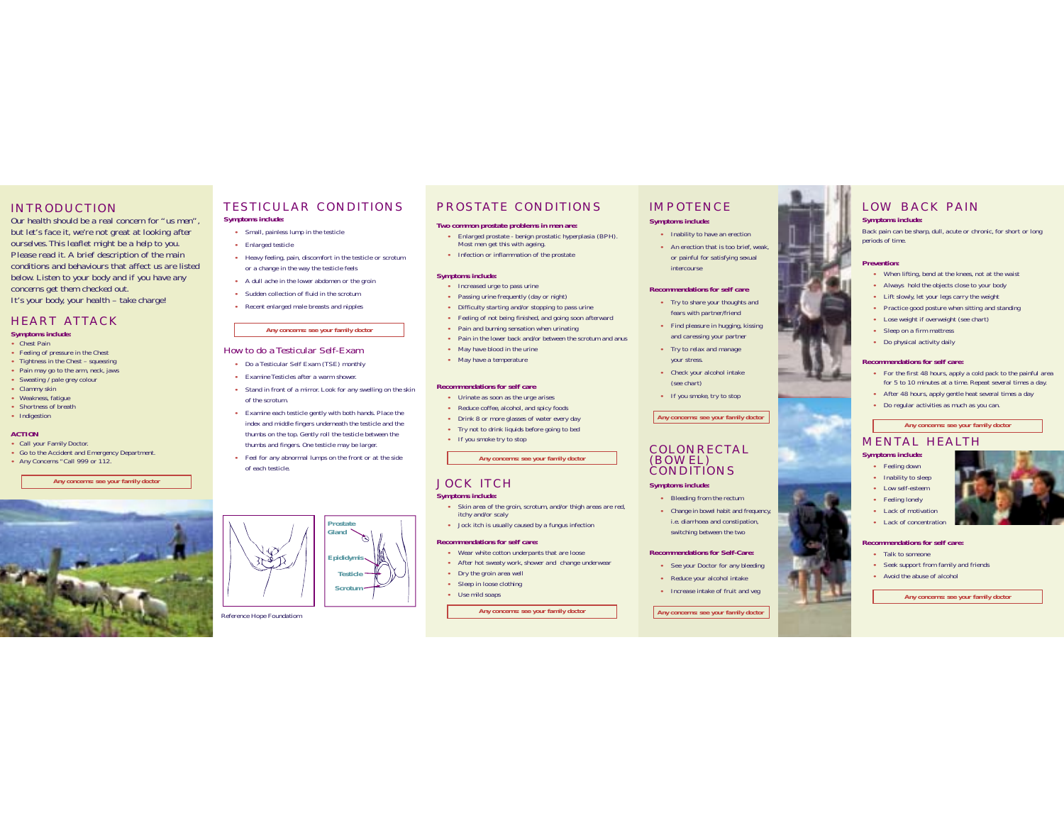### INTRODUCTION

Our health should be a real concern for "us men", but let's face it, we're not great at looking after ourselves.This leaflet might be a help to you. Please read it. A brief description of the main conditions and behaviours that affect us are listedbelow. Listen to your body and if you have any concerns get them checked out. It's your body, your health – take charge!

#### HEART ATTACK**Symptoms include:**

- **•** Chest Pain
- **•** Feeling of pressure in the Chest
- **•** Tightness in the Chest squeezing
- **•** Pain may go to the arm, neck, jaws
- **•** Sweating / pale grey colour
- **•** Clammy skin
- **•** Weakness, fatigue
- **•** Shortness of breath
- **•** Indigestion

#### **ACTION**

- **•** Call your Family Doctor.
- **•** Go to the Accident and Emergency Department.
- **•** Any Concerns "Call 999 or 112.

#### **Any concerns: see your family doctor**



#### TESTICULAR CONDITIONS**Symptoms include:**

- **•** Small, painless lump in the testicle
- **•** Enlarged testicle
- **•** Heavy feeling, pain, discomfort in the testicle or scrotum or a change in the way the testicle feels
- **•** A dull ache in the lower abdomen or the groin
- **•** Sudden collection of fluid in the scrotum
- **•** Recent enlarged male breasts and nipples

#### **Any concerns: see your family doctor**

#### How to do a Testicular Self-Exam

- **•** Do a Testicular Self Exam (TSE) monthly
- **•** Examine Testicles after a warm shower.
- **•** Stand in front of a mirror. Look for any swelling on the skin of the scrotum.
- **•** Examine each testicle gently with both hands. Place the index and middle fingers underneath the testicle and the thumbs on the top. Gently roll the testicle between the thumbs and fingers. One testicle may be larger.
- **•** Feel for any abnormal lumps on the front or at the side of each testicle.

# **Epididymis TesticleProstate GlandScrotum**

#### Reference Hope Foundatiom

## PROSTATE CONDITIONS

#### **Two common prostate problems in men are:**

- **•** Enlarged prostate benign prostatic hyperplasia (BPH). Most men get this with ageing.
- **•** Infection or inflammation of the prostate

#### **Symptoms include:**

- **•** Increased urge to pass urine
- **•** Passing urine frequently (day or night)
- **•** Difficulty starting and/or stopping to pass urine
- **•** Feeling of not being finished, and going soon afterward
- **•** Pain and burning sensation when urinating
- **•** Pain in the lower back and/or between the scrotum and anus
- **•** May have blood in the urine
- **•** May have a temperature

#### **Recommendations for self care**

- **•** Urinate as soon as the urge arises
- **•** Reduce coffee, alcohol, and spicy foods
- **•** Drink 8 or more glasses of water every day
- **•** Try not to drink liquids before going to bed
- **•** If you smoke try to stop

#### **Any concerns: see your family doctor**

## JOCK ITCH

#### **Symptoms include:**

- **•** Skin area of the groin, scrotum, and/or thigh areas are red, itchy and/or scaly
- **•** Jock itch is usually caused by a fungus infection

#### **Recommendations for self care:**

- **•** Wear white cotton underpants that are loose
- **•** After hot sweaty work, shower and change underwear
- **•** Dry the groin area well
- **•** Sleep in loose clothing
- **•** Use mild soaps

#### **Any concerns: see your family doctor**

# IMPOTENCE

#### **Symptoms include:**

- **•** Inability to have an erection
- **•** An erection that is too brief, weak, or painful for satisfying sexual intercourse

#### **Recommendations for self care**

- **•** Try to share your thoughts and fears with partner/friend
- **•** Find pleasure in hugging, kissing and caressing your partner
- **•** Try to relax and manage your stress.
- **•** Check your alcohol intake (see chart)
- **•** If you smoke, try to stop

#### **Any concerns: see your family doctor**

#### COLONRECTAL(BOWEL) CONDITIONS

#### **Symptoms include:**

- **•** Bleeding from the rectum
- **•** Change in bowel habit and frequency, i.e. diarrhoea and constipation, switching between the two

#### **Recommendations for Self-Care:**

- **•** See your Doctor for any bleeding
- **•** Reduce your alcohol intake
- **•** Increase intake of fruit and veg

### LOW BACK PAIN**Symptoms include:**

Back pain can be sharp, dull, acute or chronic, for short or long periods of time.

#### **Prevention:**

- **•** When lifting, bend at the knees, not at the waist
- **•** Always hold the objects close to your body
- **•** Lift slowly, let your legs carry the weight
- **•** Practice good posture when sitting and standing
- **•** Lose weight if overweight (see chart)
- **•** Sleep on a firm mattress
- **•** Do physical activity daily

#### **Recommendations for self care:**

- **•** For the first 48 hours, apply a cold pack to the painful area for 5 to 10 minutes at a time. Repeat several times a day.
- **•** After 48 hours, apply gentle heat several times a day
- **•** Do regular activities as much as you can.

**•** Seek support from family and friends **•** Avoid the abuse of alcohol

**Any concerns: see your family doctor**

MENTAL HEALTH

**Symptoms include: •** Feeling down **•** Inability to sleep **•** Low self-esteem**•** Feeling lonely **•** Lack of motivation **•** Lack of concentration **Recommendations for self care:•** Talk to someone

**Any concerns: see your family doctor**